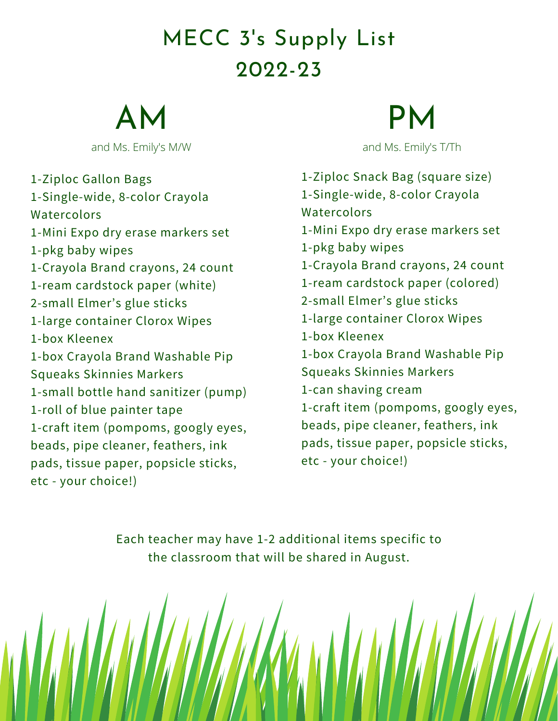### MECC 3' s Supply List 2022-23

AM

and Ms. Emily's M/W and Ms. Emily's T/Th

1-Ziploc Gallon Bags 1-Single-wide, 8-color Crayola **Watercolors** 1-Mini Expo dry erase markers set 1-pkg baby wipes 1-Crayola Brand crayons, 24 count 1-ream cardstock paper (white) 2-small Elmer's glue sticks 1-large container Clorox Wipes 1-box Kleenex 1-box Crayola Brand Washable Pip Squeaks Skinnies Markers 1-small bottle hand sanitizer (pump) 1-roll of blue painter tape 1-craft item (pompoms, googly eyes, beads, pipe cleaner, feathers, ink pads, tissue paper, popsicle sticks, etc - your choice!)

# PM

1-Ziploc Snack Bag (square size) 1-Single-wide, 8-color Crayola Watercolors 1-Mini Expo dry erase markers set 1-pkg baby wipes 1-Crayola Brand crayons, 24 count 1-ream cardstock paper (colored) 2-small Elmer's glue sticks 1-large container Clorox Wipes 1-box Kleenex 1-box Crayola Brand Washable Pip Squeaks Skinnies Markers 1-can shaving cream 1-craft item (pompoms, googly eyes, beads, pipe cleaner, feathers, ink pads, tissue paper, popsicle sticks, etc - your choice!)

Each teacher may have 1-2 additional items specific to the classroom that will be shared in August.